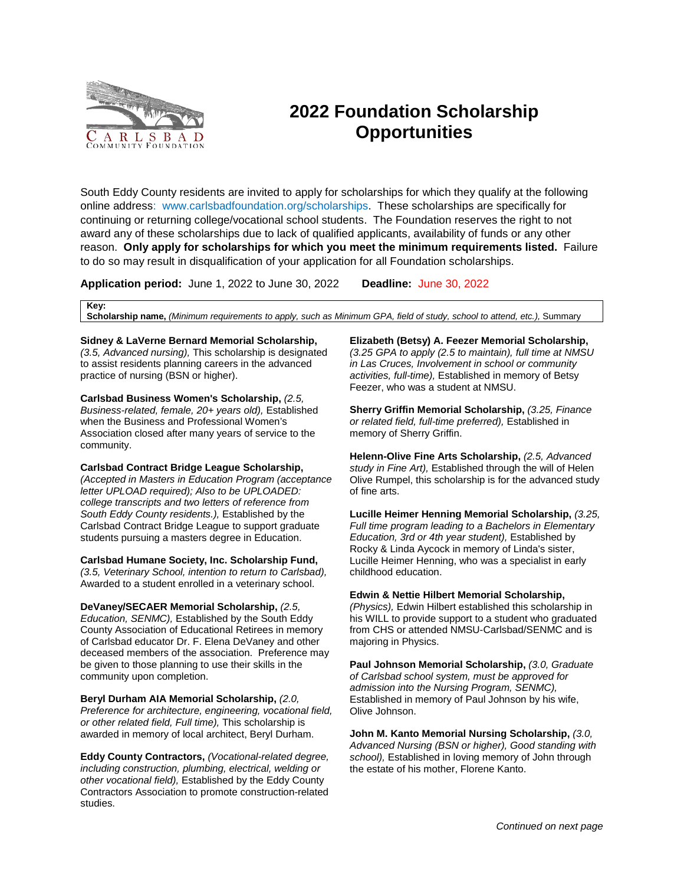

## **2022 Foundation Scholarship Opportunities**

South Eddy County residents are invited to apply for scholarships for which they qualify at the following online address: www.carlsbadfoundation.org/scholarships. These scholarships are specifically for continuing or returning college/vocational school students. The Foundation reserves the right to not award any of these scholarships due to lack of qualified applicants, availability of funds or any other reason. **Only apply for scholarships for which you meet the minimum requirements listed.** Failure to do so may result in disqualification of your application for all Foundation scholarships.

**Application period:** June 1, 2022 to June 30, 2022 **Deadline:** June 30, 2022

**Key:**

**Scholarship name,** *(Minimum requirements to apply, such as Minimum GPA, field of study, school to attend, etc.),* Summary

## **Sidney & LaVerne Bernard Memorial Scholarship,**

*(3.5, Advanced nursing),* This scholarship is designated to assist residents planning careers in the advanced practice of nursing (BSN or higher).

**Carlsbad Business Women's Scholarship,** *(2.5, Business-related, female, 20+ years old),* Established when the Business and Professional Women's Association closed after many years of service to the community.

**Carlsbad Contract Bridge League Scholarship,**  *(Accepted in Masters in Education Program (acceptance letter UPLOAD required); Also to be UPLOADED: college transcripts and two letters of reference from South Eddy County residents.),* Established by the Carlsbad Contract Bridge League to support graduate students pursuing a masters degree in Education.

**Carlsbad Humane Society, Inc. Scholarship Fund,**  *(3.5, Veterinary School, intention to return to Carlsbad),*  Awarded to a student enrolled in a veterinary school.

**DeVaney/SECAER Memorial Scholarship,** *(2.5, Education, SENMC),* Established by the South Eddy County Association of Educational Retirees in memory of Carlsbad educator Dr. F. Elena DeVaney and other deceased members of the association. Preference may be given to those planning to use their skills in the community upon completion.

**Beryl Durham AIA Memorial Scholarship,** *(2.0, Preference for architecture, engineering, vocational field, or other related field, Full time),* This scholarship is awarded in memory of local architect, Beryl Durham.

**Eddy County Contractors,** *(Vocational-related degree, including construction, plumbing, electrical, welding or other vocational field),* Established by the Eddy County Contractors Association to promote construction-related studies.

**Elizabeth (Betsy) A. Feezer Memorial Scholarship,**  *(3.25 GPA to apply (2.5 to maintain), full time at NMSU in Las Cruces, Involvement in school or community activities, full-time),* Established in memory of Betsy Feezer, who was a student at NMSU.

**Sherry Griffin Memorial Scholarship,** *(3.25, Finance or related field, full-time preferred),* Established in memory of Sherry Griffin.

**Helenn-Olive Fine Arts Scholarship,** *(2.5, Advanced study in Fine Art),* Established through the will of Helen Olive Rumpel, this scholarship is for the advanced study of fine arts.

**Lucille Heimer Henning Memorial Scholarship,** *(3.25, Full time program leading to a Bachelors in Elementary Education, 3rd or 4th year student),* Established by Rocky & Linda Aycock in memory of Linda's sister, Lucille Heimer Henning, who was a specialist in early childhood education.

**Edwin & Nettie Hilbert Memorial Scholarship,** 

*(Physics),* Edwin Hilbert established this scholarship in his WILL to provide support to a student who graduated from CHS or attended NMSU-Carlsbad/SENMC and is majoring in Physics.

**Paul Johnson Memorial Scholarship,** *(3.0, Graduate of Carlsbad school system, must be approved for admission into the Nursing Program, SENMC),*  Established in memory of Paul Johnson by his wife, Olive Johnson.

**John M. Kanto Memorial Nursing Scholarship,** *(3.0, Advanced Nursing (BSN or higher), Good standing with school),* Established in loving memory of John through the estate of his mother, Florene Kanto.